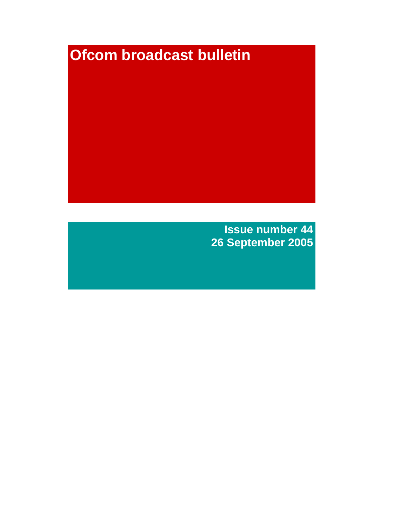# **Ofcom broadcast bulletin**

**Issue number 44**

**26 September 2005**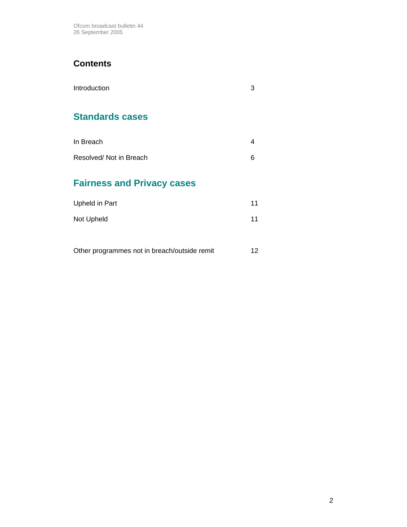# **Contents**

| Introduction | 3 |
|--------------|---|
|              |   |

# **Standards cases**

| In Breach              |  |
|------------------------|--|
| Resolved/Not in Breach |  |

# **Fairness and Privacy cases**

| Upheld in Part | 11 |
|----------------|----|
| Not Upheld     | 11 |

Other programmes not in breach/outside remit 12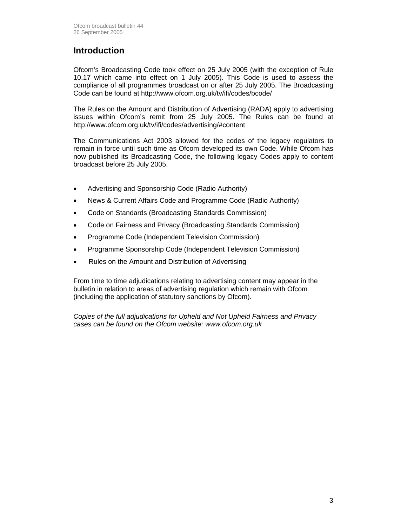### **Introduction**

Ofcom's Broadcasting Code took effect on 25 July 2005 (with the exception of Rule 10.17 which came into effect on 1 July 2005). This Code is used to assess the compliance of all programmes broadcast on or after 25 July 2005. The Broadcasting Code can be found at http://www.ofcom.org.uk/tv/ifi/codes/bcode/

The Rules on the Amount and Distribution of Advertising (RADA) apply to advertising issues within Ofcom's remit from 25 July 2005. The Rules can be found at http://www.ofcom.org.uk/tv/ifi/codes/advertising/#content

The Communications Act 2003 allowed for the codes of the legacy regulators to remain in force until such time as Ofcom developed its own Code. While Ofcom has now published its Broadcasting Code, the following legacy Codes apply to content broadcast before 25 July 2005.

- Advertising and Sponsorship Code (Radio Authority)
- News & Current Affairs Code and Programme Code (Radio Authority)
- Code on Standards (Broadcasting Standards Commission)
- Code on Fairness and Privacy (Broadcasting Standards Commission)
- Programme Code (Independent Television Commission)
- Programme Sponsorship Code (Independent Television Commission)
- Rules on the Amount and Distribution of Advertising

From time to time adjudications relating to advertising content may appear in the bulletin in relation to areas of advertising regulation which remain with Ofcom (including the application of statutory sanctions by Ofcom).

*Copies of the full adjudications for Upheld and Not Upheld Fairness and Privacy cases can be found on the Ofcom website: www.ofcom.org.uk*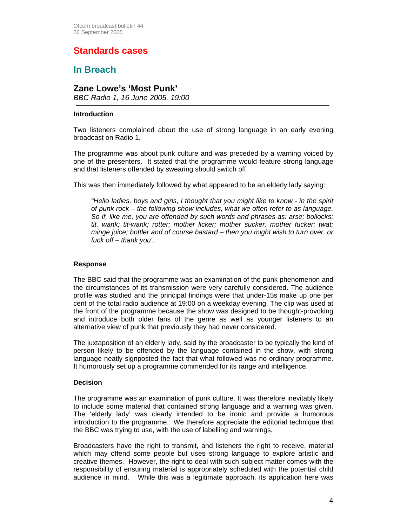# **Standards cases**

### **In Breach**

### **Zane Lowe's 'Most Punk'**

*BBC Radio 1, 16 June 2005, 19:00* 

#### **Introduction**

Two listeners complained about the use of strong language in an early evening broadcast on Radio 1.

The programme was about punk culture and was preceded by a warning voiced by one of the presenters. It stated that the programme would feature strong language and that listeners offended by swearing should switch off.

This was then immediately followed by what appeared to be an elderly lady saying:

*"Hello ladies, boys and girls, I thought that you might like to know - in the spirit of punk rock – the following show includes, what we often refer to as language. So if, like me, you are offended by such words and phrases as: arse; bollocks; tit, wank; tit-wank; rotter; mother licker; mother sucker; mother fucker; twat; minge juice; bottler and of course bastard – then you might wish to turn over, or fuck off – thank you".*

#### **Response**

The BBC said that the programme was an examination of the punk phenomenon and the circumstances of its transmission were very carefully considered. The audience profile was studied and the principal findings were that under-15s make up one per cent of the total radio audience at 19:00 on a weekday evening. The clip was used at the front of the programme because the show was designed to be thought-provoking and introduce both older fans of the genre as well as younger listeners to an alternative view of punk that previously they had never considered.

The juxtaposition of an elderly lady, said by the broadcaster to be typically the kind of person likely to be offended by the language contained in the show, with strong language neatly signposted the fact that what followed was no ordinary programme. It humorously set up a programme commended for its range and intelligence.

#### **Decision**

The programme was an examination of punk culture. It was therefore inevitably likely to include some material that contained strong language and a warning was given. The 'elderly lady' was clearly intended to be ironic and provide a humorous introduction to the programme. We therefore appreciate the editorial technique that the BBC was trying to use, with the use of labelling and warnings.

Broadcasters have the right to transmit, and listeners the right to receive, material which may offend some people but uses strong language to explore artistic and creative themes. However, the right to deal with such subject matter comes with the responsibility of ensuring material is appropriately scheduled with the potential child audience in mind. While this was a legitimate approach, its application here was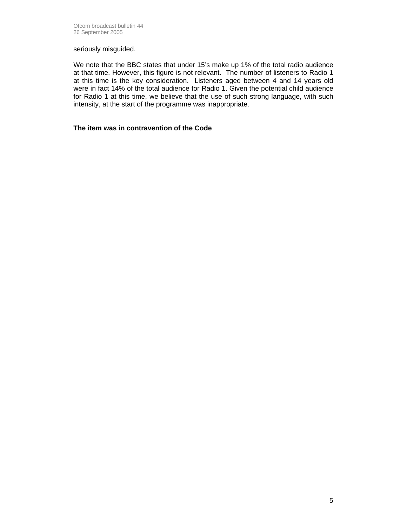#### seriously misguided.

We note that the BBC states that under 15's make up 1% of the total radio audience at that time. However, this figure is not relevant. The number of listeners to Radio 1 at this time is the key consideration. Listeners aged between 4 and 14 years old were in fact 14% of the total audience for Radio 1. Given the potential child audience for Radio 1 at this time, we believe that the use of such strong language, with such intensity, at the start of the programme was inappropriate.

#### **The item was in contravention of the Code**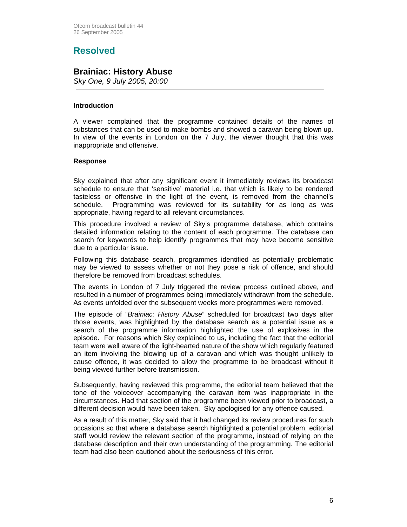# **Resolved**

### **Brainiac: History Abuse**

*Sky One, 9 July 2005, 20:00* 

#### **Introduction**

A viewer complained that the programme contained details of the names of substances that can be used to make bombs and showed a caravan being blown up. In view of the events in London on the 7 July, the viewer thought that this was inappropriate and offensive.

#### **Response**

Sky explained that after any significant event it immediately reviews its broadcast schedule to ensure that 'sensitive' material i.e. that which is likely to be rendered tasteless or offensive in the light of the event, is removed from the channel's schedule. Programming was reviewed for its suitability for as long as was appropriate, having regard to all relevant circumstances.

This procedure involved a review of Sky's programme database, which contains detailed information relating to the content of each programme. The database can search for keywords to help identify programmes that may have become sensitive due to a particular issue.

Following this database search, programmes identified as potentially problematic may be viewed to assess whether or not they pose a risk of offence, and should therefore be removed from broadcast schedules.

The events in London of 7 July triggered the review process outlined above, and resulted in a number of programmes being immediately withdrawn from the schedule. As events unfolded over the subsequent weeks more programmes were removed.

The episode of "*Brainiac: History Abuse*" scheduled for broadcast two days after those events, was highlighted by the database search as a potential issue as a search of the programme information highlighted the use of explosives in the episode. For reasons which Sky explained to us, including the fact that the editorial team were well aware of the light-hearted nature of the show which regularly featured an item involving the blowing up of a caravan and which was thought unlikely to cause offence, it was decided to allow the programme to be broadcast without it being viewed further before transmission.

Subsequently, having reviewed this programme, the editorial team believed that the tone of the voiceover accompanying the caravan item was inappropriate in the circumstances. Had that section of the programme been viewed prior to broadcast, a different decision would have been taken. Sky apologised for any offence caused.

As a result of this matter, Sky said that it had changed its review procedures for such occasions so that where a database search highlighted a potential problem, editorial staff would review the relevant section of the programme, instead of relying on the database description and their own understanding of the programming. The editorial team had also been cautioned about the seriousness of this error.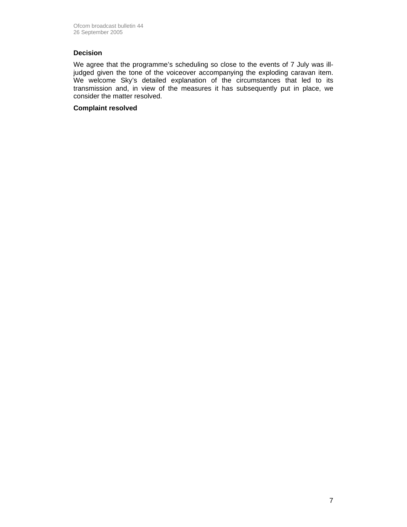#### **Decision**

We agree that the programme's scheduling so close to the events of 7 July was illjudged given the tone of the voiceover accompanying the exploding caravan item. We welcome Sky's detailed explanation of the circumstances that led to its transmission and, in view of the measures it has subsequently put in place, we consider the matter resolved.

#### **Complaint resolved**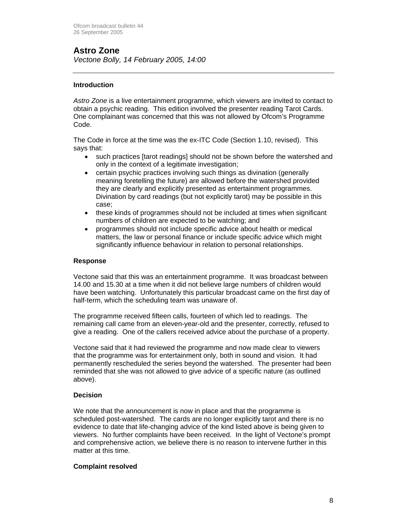# **Astro Zone**

*Vectone Bolly, 14 February 2005, 14:00* 

#### **Introduction**

*Astro Zone* is a live entertainment programme, which viewers are invited to contact to obtain a psychic reading. This edition involved the presenter reading Tarot Cards. One complainant was concerned that this was not allowed by Ofcom's Programme Code.

The Code in force at the time was the ex-ITC Code (Section 1.10, revised). This says that:

- such practices [tarot readings] should not be shown before the watershed and only in the context of a legitimate investigation;
- certain psychic practices involving such things as divination (generally meaning foretelling the future) are allowed before the watershed provided they are clearly and explicitly presented as entertainment programmes. Divination by card readings (but not explicitly tarot) may be possible in this case;
- these kinds of programmes should not be included at times when significant numbers of children are expected to be watching; and
- programmes should not include specific advice about health or medical matters, the law or personal finance or include specific advice which might significantly influence behaviour in relation to personal relationships.

#### **Response**

Vectone said that this was an entertainment programme. It was broadcast between 14.00 and 15.30 at a time when it did not believe large numbers of children would have been watching. Unfortunately this particular broadcast came on the first day of half-term, which the scheduling team was unaware of.

The programme received fifteen calls, fourteen of which led to readings. The remaining call came from an eleven-year-old and the presenter, correctly, refused to give a reading. One of the callers received advice about the purchase of a property.

Vectone said that it had reviewed the programme and now made clear to viewers that the programme was for entertainment only, both in sound and vision. It had permanently rescheduled the series beyond the watershed. The presenter had been reminded that she was not allowed to give advice of a specific nature (as outlined above).

#### **Decision**

We note that the announcement is now in place and that the programme is scheduled post-watershed. The cards are no longer explicitly tarot and there is no evidence to date that life-changing advice of the kind listed above is being given to viewers. No further complaints have been received. In the light of Vectone's prompt and comprehensive action, we believe there is no reason to intervene further in this matter at this time.

#### **Complaint resolved**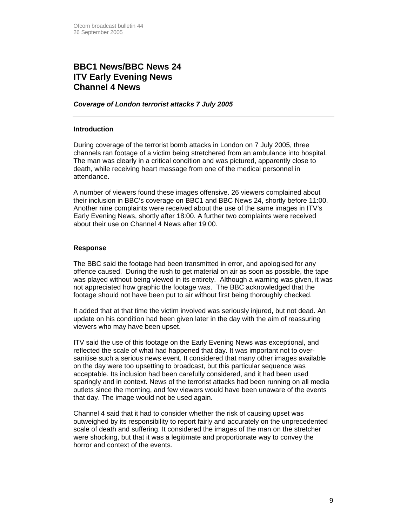### **BBC1 News/BBC News 24 ITV Early Evening News Channel 4 News**

#### *Coverage of London terrorist attacks 7 July 2005*

#### **Introduction**

During coverage of the terrorist bomb attacks in London on 7 July 2005, three channels ran footage of a victim being stretchered from an ambulance into hospital. The man was clearly in a critical condition and was pictured, apparently close to death, while receiving heart massage from one of the medical personnel in attendance.

A number of viewers found these images offensive. 26 viewers complained about their inclusion in BBC's coverage on BBC1 and BBC News 24, shortly before 11:00. Another nine complaints were received about the use of the same images in ITV's Early Evening News, shortly after 18:00. A further two complaints were received about their use on Channel 4 News after 19:00.

#### **Response**

The BBC said the footage had been transmitted in error, and apologised for any offence caused. During the rush to get material on air as soon as possible, the tape was played without being viewed in its entirety. Although a warning was given, it was not appreciated how graphic the footage was. The BBC acknowledged that the footage should not have been put to air without first being thoroughly checked.

It added that at that time the victim involved was seriously injured, but not dead. An update on his condition had been given later in the day with the aim of reassuring viewers who may have been upset.

ITV said the use of this footage on the Early Evening News was exceptional, and reflected the scale of what had happened that day. It was important not to oversanitise such a serious news event. It considered that many other images available on the day were too upsetting to broadcast, but this particular sequence was acceptable. Its inclusion had been carefully considered, and it had been used sparingly and in context. News of the terrorist attacks had been running on all media outlets since the morning, and few viewers would have been unaware of the events that day. The image would not be used again.

Channel 4 said that it had to consider whether the risk of causing upset was outweighed by its responsibility to report fairly and accurately on the unprecedented scale of death and suffering. It considered the images of the man on the stretcher were shocking, but that it was a legitimate and proportionate way to convey the horror and context of the events.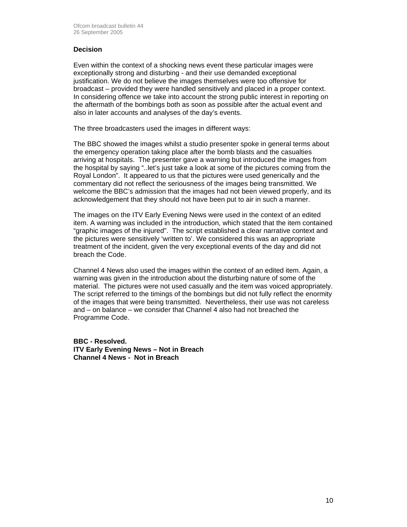#### **Decision**

Even within the context of a shocking news event these particular images were exceptionally strong and disturbing - and their use demanded exceptional justification. We do not believe the images themselves were too offensive for broadcast – provided they were handled sensitively and placed in a proper context. In considering offence we take into account the strong public interest in reporting on the aftermath of the bombings both as soon as possible after the actual event and also in later accounts and analyses of the day's events.

The three broadcasters used the images in different ways:

The BBC showed the images whilst a studio presenter spoke in general terms about the emergency operation taking place after the bomb blasts and the casualties arriving at hospitals. The presenter gave a warning but introduced the images from the hospital by saying "..let's just take a look at some of the pictures coming from the Royal London". It appeared to us that the pictures were used generically and the commentary did not reflect the seriousness of the images being transmitted. We welcome the BBC's admission that the images had not been viewed properly, and its acknowledgement that they should not have been put to air in such a manner.

The images on the ITV Early Evening News were used in the context of an edited item. A warning was included in the introduction, which stated that the item contained "graphic images of the injured". The script established a clear narrative context and the pictures were sensitively 'written to'. We considered this was an appropriate treatment of the incident, given the very exceptional events of the day and did not breach the Code.

Channel 4 News also used the images within the context of an edited item. Again, a warning was given in the introduction about the disturbing nature of some of the material. The pictures were not used casually and the item was voiced appropriately. The script referred to the timings of the bombings but did not fully reflect the enormity of the images that were being transmitted. Nevertheless, their use was not careless and – on balance – we consider that Channel 4 also had not breached the Programme Code.

**BBC - Resolved. ITV Early Evening News – Not in Breach Channel 4 News - Not in Breach**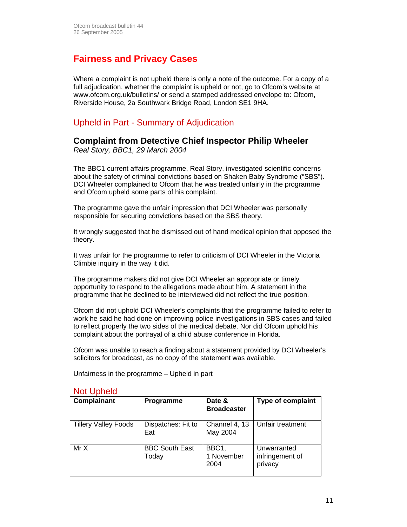# **Fairness and Privacy Cases**

Where a complaint is not upheld there is only a note of the outcome. For a copy of a full adjudication, whether the complaint is upheld or not, go to Ofcom's website at www.ofcom.org.uk/bulletins/ or send a stamped addressed envelope to: Ofcom, Riverside House, 2a Southwark Bridge Road, London SE1 9HA.

### Upheld in Part - Summary of Adjudication

### **Complaint from Detective Chief Inspector Philip Wheeler**

*Real Story, BBC1, 29 March 2004* 

The BBC1 current affairs programme, Real Story, investigated scientific concerns about the safety of criminal convictions based on Shaken Baby Syndrome ("SBS"). DCI Wheeler complained to Ofcom that he was treated unfairly in the programme and Ofcom upheld some parts of his complaint.

The programme gave the unfair impression that DCI Wheeler was personally responsible for securing convictions based on the SBS theory.

It wrongly suggested that he dismissed out of hand medical opinion that opposed the theory.

It was unfair for the programme to refer to criticism of DCI Wheeler in the Victoria Climbie inquiry in the way it did.

The programme makers did not give DCI Wheeler an appropriate or timely opportunity to respond to the allegations made about him. A statement in the programme that he declined to be interviewed did not reflect the true position.

Ofcom did not uphold DCI Wheeler's complaints that the programme failed to refer to work he said he had done on improving police investigations in SBS cases and failed to reflect properly the two sides of the medical debate. Nor did Ofcom uphold his complaint about the portrayal of a child abuse conference in Florida.

Ofcom was unable to reach a finding about a statement provided by DCI Wheeler's solicitors for broadcast, as no copy of the statement was available.

Unfairness in the programme – Upheld in part

### Not Upheld

| Complainant                 | Programme                      | Date &<br><b>Broadcaster</b> | <b>Type of complaint</b>                  |
|-----------------------------|--------------------------------|------------------------------|-------------------------------------------|
| <b>Tillery Valley Foods</b> | Dispatches: Fit to<br>Eat      | Channel 4, 13<br>May 2004    | Unfair treatment                          |
| Mr X                        | <b>BBC South East</b><br>Today | BBC1,<br>1 November<br>2004  | Unwarranted<br>infringement of<br>privacy |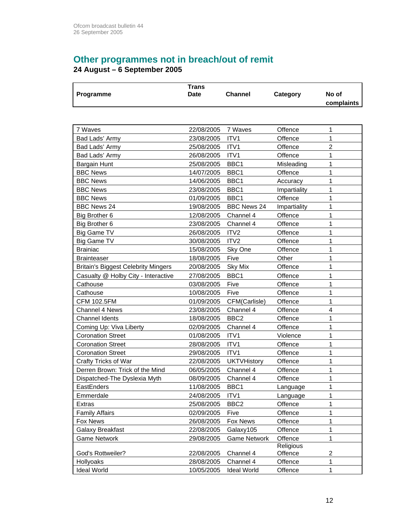# **Other programmes not in breach/out of remit**

**24 August – 6 September 2005** 

| Programme                                  | <b>Trans</b><br><b>Date</b><br><b>Channel</b> |                     | Category     | No of<br>complaints |
|--------------------------------------------|-----------------------------------------------|---------------------|--------------|---------------------|
|                                            |                                               |                     |              |                     |
| 7 Waves                                    | 22/08/2005                                    | 7 Waves             | Offence      | 1                   |
| Bad Lads' Army                             | 23/08/2005                                    | ITV1                | Offence      | 1                   |
| Bad Lads' Army                             | 25/08/2005                                    | ITV1                | Offence      | $\overline{2}$      |
| Bad Lads' Army                             | 26/08/2005                                    | ITV1                | Offence      | 1                   |
| <b>Bargain Hunt</b>                        | 25/08/2005                                    | BBC1                | Misleading   | 1                   |
| <b>BBC News</b>                            | 14/07/2005                                    | BBC <sub>1</sub>    | Offence      | 1                   |
| <b>BBC News</b>                            | 14/06/2005                                    | BBC1                | Accuracy     | 1                   |
| <b>BBC News</b>                            | 23/08/2005                                    | BBC1                | Impartiality | 1                   |
| <b>BBC News</b>                            | 01/09/2005                                    | BBC1                | Offence      | 1                   |
| <b>BBC News 24</b>                         | 19/08/2005                                    | <b>BBC News 24</b>  | Impartiality | 1                   |
| Big Brother 6                              | 12/08/2005                                    | Channel 4           | Offence      | 1                   |
| Big Brother 6                              | 23/08/2005                                    | Channel 4           | Offence      | 1                   |
| <b>Big Game TV</b>                         | 26/08/2005                                    | ITV <sub>2</sub>    | Offence      | 1                   |
| <b>Big Game TV</b>                         | 30/08/2005                                    | ITV <sub>2</sub>    | Offence      | 1                   |
| <b>Brainiac</b>                            | 15/08/2005                                    | Sky One             | Offence      | 1                   |
| <b>Brainteaser</b>                         | 18/08/2005                                    | Five                | Other        | 1                   |
| <b>Britain's Biggest Celebrity Mingers</b> | 20/08/2005                                    | Sky Mix             | Offence      | 1                   |
| Casualty @ Holby City - Interactive        | 27/08/2005                                    | BBC1                | Offence      | 1                   |
| Cathouse                                   | 03/08/2005                                    | Five                | Offence      | 1                   |
| Cathouse                                   | 10/08/2005                                    | Five                | Offence      | 1                   |
| <b>CFM 102.5FM</b>                         | 01/09/2005                                    | CFM(Carlisle)       | Offence      | 1                   |
| <b>Channel 4 News</b>                      | 23/08/2005                                    | Channel 4           | Offence      | 4                   |
| <b>Channel Idents</b>                      | 18/08/2005                                    | BBC <sub>2</sub>    | Offence      | 1                   |
| Coming Up: Viva Liberty                    | 02/09/2005                                    | Channel 4           | Offence      | 1                   |
| <b>Coronation Street</b>                   | 01/08/2005                                    | ITV1                | Violence     | 1                   |
| <b>Coronation Street</b>                   | 28/08/2005                                    | ITV1                | Offence      | 1                   |
| <b>Coronation Street</b>                   | 29/08/2005                                    | ITV <sub>1</sub>    | Offence      | 1                   |
| Crafty Tricks of War                       | 22/08/2005                                    | <b>UKTVHistory</b>  | Offence      | 1                   |
| Derren Brown: Trick of the Mind            | 06/05/2005                                    | Channel 4           | Offence      | 1                   |
| Dispatched-The Dyslexia Myth               | 08/09/2005                                    | Channel 4           | Offence      | 1                   |
| EastEnders                                 | 11/08/2005                                    | BBC <sub>1</sub>    | Language     | 1                   |
| Emmerdale                                  | 24/08/2005                                    | ITV <sub>1</sub>    | Language     | 1                   |
| <b>Extras</b>                              | 25/08/2005                                    | BBC <sub>2</sub>    | Offence      | 1                   |
| <b>Family Affairs</b>                      | 02/09/2005                                    | Five                | Offence      | 1                   |
| Fox News                                   | 26/08/2005                                    | <b>Fox News</b>     | Offence      | 1                   |
| Galaxy Breakfast                           | 22/08/2005                                    | Galaxy105           | Offence      | 1                   |
| <b>Game Network</b>                        | 29/08/2005                                    | <b>Game Network</b> | Offence      | 1                   |
|                                            |                                               |                     | Religious    |                     |
| God's Rottweiler?                          | 22/08/2005                                    | Channel 4           | Offence      | 2                   |
| Hollyoaks                                  | 28/08/2005                                    | Channel 4           | Offence      | 1                   |
| <b>Ideal World</b>                         | 10/05/2005                                    | <b>Ideal World</b>  | Offence      | 1                   |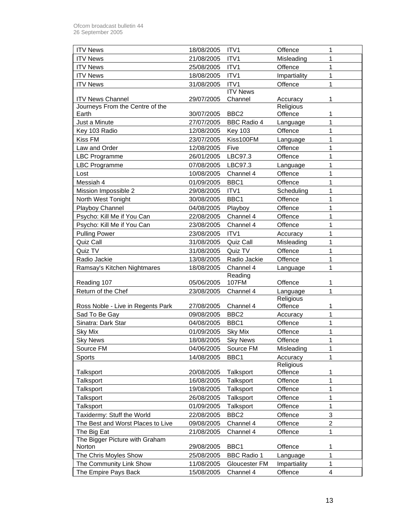| <b>ITV News</b>                   | 18/08/2005 | ITV <sub>1</sub>   | Offence      | 1              |
|-----------------------------------|------------|--------------------|--------------|----------------|
| <b>ITV News</b>                   | 21/08/2005 | ITV1               | Misleading   | 1              |
| <b>ITV News</b>                   | 25/08/2005 | ITV1               | Offence      | 1              |
| <b>ITV News</b>                   | 18/08/2005 | ITV1               | Impartiality | 1              |
| <b>ITV News</b>                   | 31/08/2005 | ITV <sub>1</sub>   | Offence      | 1              |
|                                   |            | <b>ITV News</b>    |              |                |
| <b>ITV News Channel</b>           | 29/07/2005 | Channel            | Accuracy     | 1              |
| Journeys From the Centre of the   |            |                    | Religious    |                |
| Earth                             | 30/07/2005 | BBC <sub>2</sub>   | Offence      | 1              |
| Just a Minute                     | 27/07/2005 | <b>BBC Radio 4</b> | Language     | 1              |
| Key 103 Radio                     | 12/08/2005 | <b>Key 103</b>     | Offence      | 1              |
| Kiss FM                           | 23/07/2005 | Kiss100FM          | Language     | 1              |
| Law and Order                     | 12/08/2005 | Five               | Offence      | 1              |
| <b>LBC Programme</b>              | 26/01/2005 | LBC97.3            | Offence      | 1              |
| <b>LBC Programme</b>              | 07/08/2005 | LBC97.3            | Language     | 1              |
| Lost                              | 10/08/2005 | Channel 4          | Offence      | 1              |
| Messiah 4                         | 01/09/2005 | BBC1               | Offence      | 1              |
| Mission Impossible 2              | 29/08/2005 | ITV1               | Scheduling   | 1              |
| North West Tonight                | 30/08/2005 | BBC1               | Offence      | 1              |
| Playboy Channel                   | 04/08/2005 | Playboy            | Offence      | 1              |
| Psycho: Kill Me if You Can        | 22/08/2005 | Channel 4          | Offence      | $\mathbf{1}$   |
| Psycho: Kill Me if You Can        | 23/08/2005 | Channel 4          | Offence      | 1              |
| <b>Pulling Power</b>              | 23/08/2005 | ITV <sub>1</sub>   | Accuracy     | 1              |
| Quiz Call                         | 31/08/2005 | Quiz Call          | Misleading   | 1              |
| Quiz TV                           | 31/08/2005 | Quiz TV            | Offence      | $\mathbf 1$    |
| Radio Jackie                      | 13/08/2005 | Radio Jackie       | Offence      | $\mathbf 1$    |
| Ramsay's Kitchen Nightmares       | 18/08/2005 | Channel 4          | Language     | 1              |
|                                   |            | Reading            |              |                |
| Reading 107                       | 05/06/2005 | 107FM              | Offence      | 1              |
| Return of the Chef                | 23/08/2005 | Channel 4          | Language     | 1              |
|                                   |            |                    | Religious    |                |
| Ross Noble - Live in Regents Park | 27/08/2005 | Channel 4          | Offence      | 1              |
| Sad To Be Gay                     | 09/08/2005 | BBC <sub>2</sub>   | Accuracy     | 1              |
| Sinatra: Dark Star                | 04/08/2005 | BBC1               | Offence      | 1              |
| <b>Sky Mix</b>                    | 01/09/2005 | <b>Sky Mix</b>     | Offence      | 1              |
| <b>Sky News</b>                   | 18/08/2005 | <b>Sky News</b>    | Offence      | $\mathbf{1}$   |
| Source FM                         | 04/06/2005 | Source FM          | Misleading   | 1              |
| Sports                            | 14/08/2005 | BBC <sub>1</sub>   | Accuracy     | 1              |
|                                   |            |                    | Religious    |                |
| <b>Talksport</b>                  | 20/08/2005 | Talksport          | Offence      | 1              |
| Talksport                         | 16/08/2005 | Talksport          | Offence      | 1              |
| Talksport                         | 19/08/2005 | Talksport          | Offence      | 1              |
| Talksport                         | 26/08/2005 | Talksport          | Offence      | 1              |
| Talksport                         | 01/09/2005 | Talksport          | Offence      | 1              |
| Taxidermy: Stuff the World        | 22/08/2005 | BBC <sub>2</sub>   | Offence      | 3              |
| The Best and Worst Places to Live | 09/08/2005 | Channel 4          | Offence      | $\overline{2}$ |
| The Big Eat                       | 21/08/2005 | Channel 4          | Offence      | 1              |
| The Bigger Picture with Graham    |            |                    |              |                |
| Norton                            | 29/08/2005 | BBC1               | Offence      | 1              |
| The Chris Moyles Show             | 25/08/2005 | <b>BBC Radio 1</b> | Language     | 1              |
| The Community Link Show           | 11/08/2005 | Gloucester FM      | Impartiality | 1              |
| The Empire Pays Back              | 15/08/2005 | Channel 4          | Offence      | 4              |